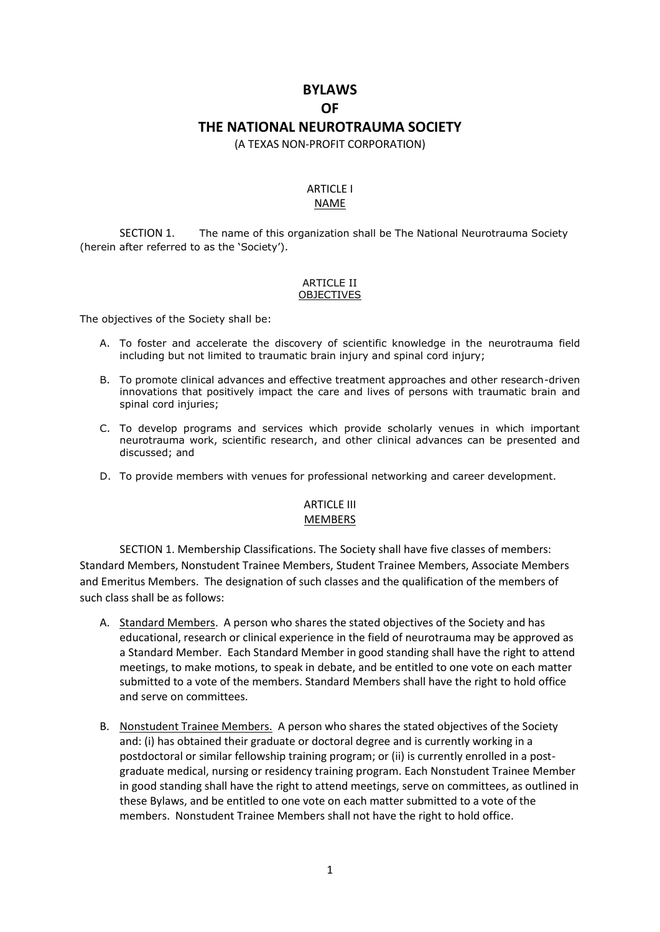# **BYLAWS OF THE NATIONAL NEUROTRAUMA SOCIETY**

(A TEXAS NON-PROFIT CORPORATION)

#### ARTICLE I NAME

SECTION 1. The name of this organization shall be The National Neurotrauma Society (herein after referred to as the 'Society').

#### **ARTICLE II** OBJECTIVES

The objectives of the Society shall be:

- A. To foster and accelerate the discovery of scientific knowledge in the neurotrauma field including but not limited to traumatic brain injury and spinal cord injury;
- B. To promote clinical advances and effective treatment approaches and other research-driven innovations that positively impact the care and lives of persons with traumatic brain and spinal cord injuries;
- C. To develop programs and services which provide scholarly venues in which important neurotrauma work, scientific research, and other clinical advances can be presented and discussed; and
- D. To provide members with venues for professional networking and career development.

## **ARTICLE III** MEMBERS

SECTION 1. Membership Classifications. The Society shall have five classes of members: Standard Members, Nonstudent Trainee Members, Student Trainee Members, Associate Members and Emeritus Members. The designation of such classes and the qualification of the members of such class shall be as follows:

- A. Standard Members. A person who shares the stated objectives of the Society and has educational, research or clinical experience in the field of neurotrauma may be approved as a Standard Member. Each Standard Member in good standing shall have the right to attend meetings, to make motions, to speak in debate, and be entitled to one vote on each matter submitted to a vote of the members. Standard Members shall have the right to hold office and serve on committees.
- B. Nonstudent Trainee Members. A person who shares the stated objectives of the Society and: (i) has obtained their graduate or doctoral degree and is currently working in a postdoctoral or similar fellowship training program; or (ii) is currently enrolled in a postgraduate medical, nursing or residency training program. Each Nonstudent Trainee Member in good standing shall have the right to attend meetings, serve on committees, as outlined in these Bylaws, and be entitled to one vote on each matter submitted to a vote of the members. Nonstudent Trainee Members shall not have the right to hold office.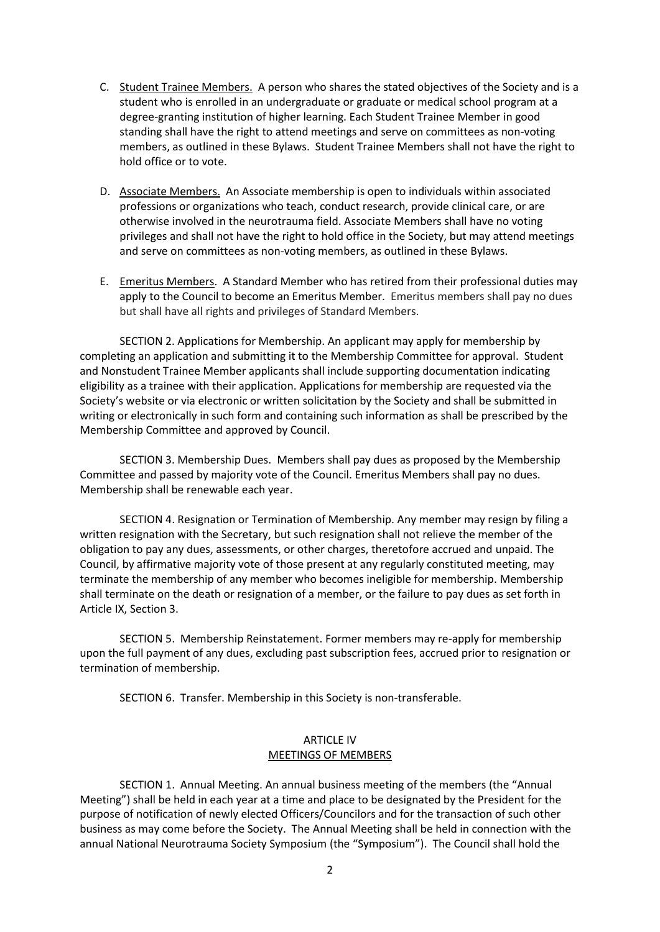- C. Student Trainee Members. A person who shares the stated objectives of the Society and is a student who is enrolled in an undergraduate or graduate or medical school program at a degree-granting institution of higher learning. Each Student Trainee Member in good standing shall have the right to attend meetings and serve on committees as non-voting members, as outlined in these Bylaws. Student Trainee Members shall not have the right to hold office or to vote.
- D. Associate Members. An Associate membership is open to individuals within associated professions or organizations who teach, conduct research, provide clinical care, or are otherwise involved in the neurotrauma field. Associate Members shall have no voting privileges and shall not have the right to hold office in the Society, but may attend meetings and serve on committees as non-voting members, as outlined in these Bylaws.
- E. Emeritus Members. A Standard Member who has retired from their professional duties may apply to the Council to become an Emeritus Member. Emeritus members shall pay no dues but shall have all rights and privileges of Standard Members.

SECTION 2. Applications for Membership. An applicant may apply for membership by completing an application and submitting it to the Membership Committee for approval. Student and Nonstudent Trainee Member applicants shall include supporting documentation indicating eligibility as a trainee with their application. Applications for membership are requested via the Society's website or via electronic or written solicitation by the Society and shall be submitted in writing or electronically in such form and containing such information as shall be prescribed by the Membership Committee and approved by Council.

SECTION 3. Membership Dues. Members shall pay dues as proposed by the Membership Committee and passed by majority vote of the Council. Emeritus Members shall pay no dues. Membership shall be renewable each year.

SECTION 4. Resignation or Termination of Membership. Any member may resign by filing a written resignation with the Secretary, but such resignation shall not relieve the member of the obligation to pay any dues, assessments, or other charges, theretofore accrued and unpaid. The Council, by affirmative majority vote of those present at any regularly constituted meeting, may terminate the membership of any member who becomes ineligible for membership. Membership shall terminate on the death or resignation of a member, or the failure to pay dues as set forth in Article IX, Section 3.

SECTION 5. Membership Reinstatement. Former members may re-apply for membership upon the full payment of any dues, excluding past subscription fees, accrued prior to resignation or termination of membership.

SECTION 6. Transfer. Membership in this Society is non-transferable.

### ARTICLE IV MEETINGS OF MEMBERS

SECTION 1. Annual Meeting. An annual business meeting of the members (the "Annual Meeting") shall be held in each year at a time and place to be designated by the President for the purpose of notification of newly elected Officers/Councilors and for the transaction of such other business as may come before the Society. The Annual Meeting shall be held in connection with the annual National Neurotrauma Society Symposium (the "Symposium"). The Council shall hold the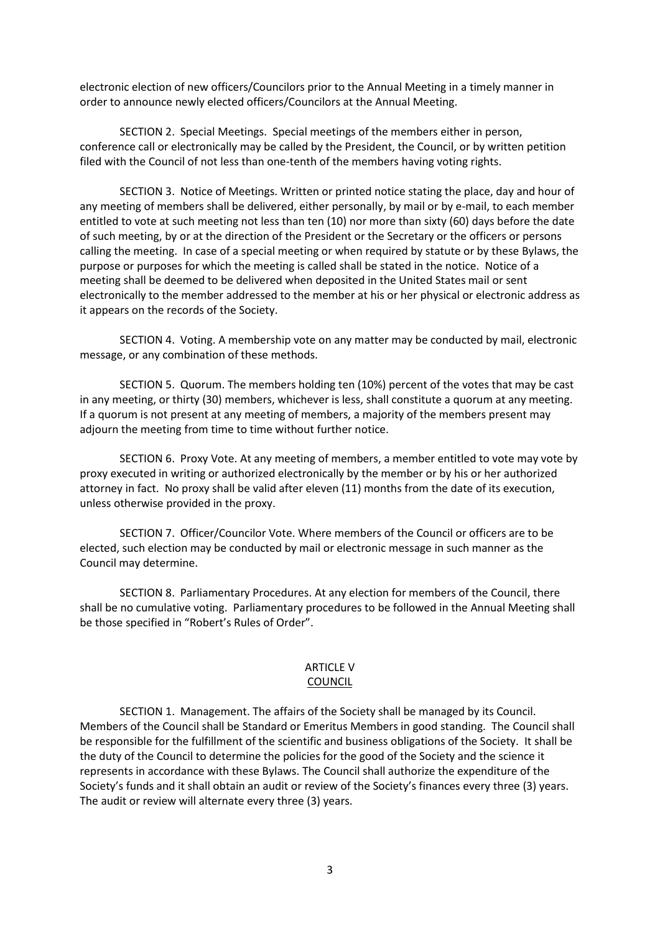electronic election of new officers/Councilors prior to the Annual Meeting in a timely manner in order to announce newly elected officers/Councilors at the Annual Meeting.

SECTION 2. Special Meetings. Special meetings of the members either in person, conference call or electronically may be called by the President, the Council, or by written petition filed with the Council of not less than one-tenth of the members having voting rights.

SECTION 3. Notice of Meetings. Written or printed notice stating the place, day and hour of any meeting of members shall be delivered, either personally, by mail or by e-mail, to each member entitled to vote at such meeting not less than ten (10) nor more than sixty (60) days before the date of such meeting, by or at the direction of the President or the Secretary or the officers or persons calling the meeting. In case of a special meeting or when required by statute or by these Bylaws, the purpose or purposes for which the meeting is called shall be stated in the notice. Notice of a meeting shall be deemed to be delivered when deposited in the United States mail or sent electronically to the member addressed to the member at his or her physical or electronic address as it appears on the records of the Society.

SECTION 4. Voting. A membership vote on any matter may be conducted by mail, electronic message, or any combination of these methods.

SECTION 5. Quorum. The members holding ten (10%) percent of the votes that may be cast in any meeting, or thirty (30) members, whichever is less, shall constitute a quorum at any meeting. If a quorum is not present at any meeting of members, a majority of the members present may adjourn the meeting from time to time without further notice.

SECTION 6. Proxy Vote. At any meeting of members, a member entitled to vote may vote by proxy executed in writing or authorized electronically by the member or by his or her authorized attorney in fact. No proxy shall be valid after eleven (11) months from the date of its execution, unless otherwise provided in the proxy.

SECTION 7. Officer/Councilor Vote. Where members of the Council or officers are to be elected, such election may be conducted by mail or electronic message in such manner as the Council may determine.

SECTION 8. Parliamentary Procedures. At any election for members of the Council, there shall be no cumulative voting. Parliamentary procedures to be followed in the Annual Meeting shall be those specified in "Robert's Rules of Order".

#### ARTICLE V COUNCIL

SECTION 1. Management. The affairs of the Society shall be managed by its Council. Members of the Council shall be Standard or Emeritus Members in good standing. The Council shall be responsible for the fulfillment of the scientific and business obligations of the Society. It shall be the duty of the Council to determine the policies for the good of the Society and the science it represents in accordance with these Bylaws. The Council shall authorize the expenditure of the Society's funds and it shall obtain an audit or review of the Society's finances every three (3) years. The audit or review will alternate every three (3) years.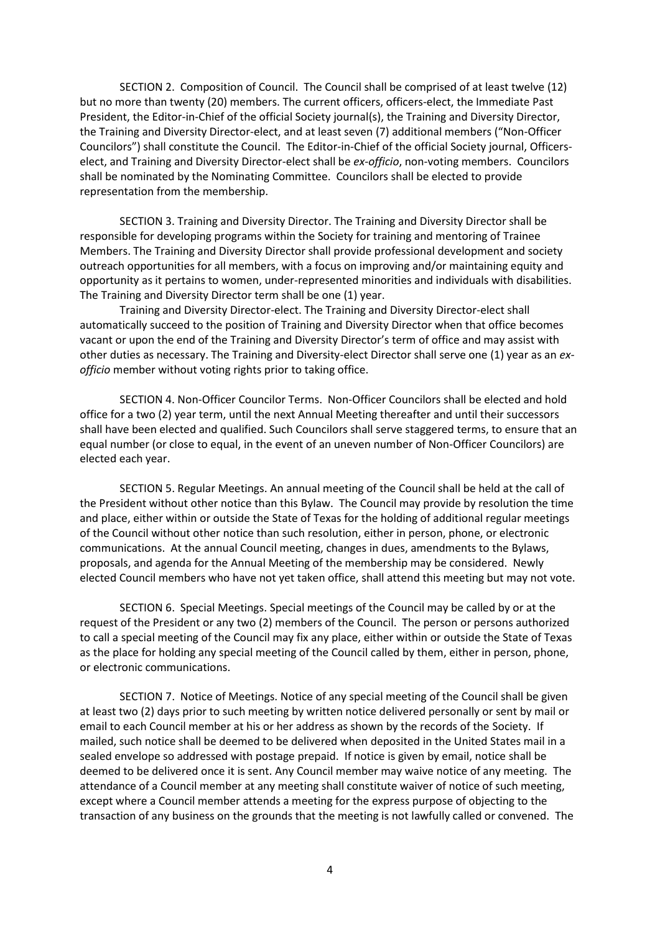SECTION 2. Composition of Council. The Council shall be comprised of at least twelve (12) but no more than twenty (20) members. The current officers, officers-elect, the Immediate Past President, the Editor-in-Chief of the official Society journal(s), the Training and Diversity Director, the Training and Diversity Director-elect, and at least seven (7) additional members ("Non-Officer Councilors") shall constitute the Council. The Editor-in-Chief of the official Society journal, Officerselect, and Training and Diversity Director-elect shall be *ex-officio*, non-voting members. Councilors shall be nominated by the Nominating Committee. Councilors shall be elected to provide representation from the membership.

SECTION 3. Training and Diversity Director. The Training and Diversity Director shall be responsible for developing programs within the Society for training and mentoring of Trainee Members. The Training and Diversity Director shall provide professional development and society outreach opportunities for all members, with a focus on improving and/or maintaining equity and opportunity as it pertains to women, under-represented minorities and individuals with disabilities. The Training and Diversity Director term shall be one (1) year.

Training and Diversity Director-elect. The Training and Diversity Director-elect shall automatically succeed to the position of Training and Diversity Director when that office becomes vacant or upon the end of the Training and Diversity Director's term of office and may assist with other duties as necessary. The Training and Diversity-elect Director shall serve one (1) year as an *exofficio* member without voting rights prior to taking office.

SECTION 4. Non-Officer Councilor Terms. Non-Officer Councilors shall be elected and hold office for a two (2) year term, until the next Annual Meeting thereafter and until their successors shall have been elected and qualified. Such Councilors shall serve staggered terms, to ensure that an equal number (or close to equal, in the event of an uneven number of Non-Officer Councilors) are elected each year.

SECTION 5. Regular Meetings. An annual meeting of the Council shall be held at the call of the President without other notice than this Bylaw. The Council may provide by resolution the time and place, either within or outside the State of Texas for the holding of additional regular meetings of the Council without other notice than such resolution, either in person, phone, or electronic communications. At the annual Council meeting, changes in dues, amendments to the Bylaws, proposals, and agenda for the Annual Meeting of the membership may be considered. Newly elected Council members who have not yet taken office, shall attend this meeting but may not vote.

SECTION 6. Special Meetings. Special meetings of the Council may be called by or at the request of the President or any two (2) members of the Council. The person or persons authorized to call a special meeting of the Council may fix any place, either within or outside the State of Texas as the place for holding any special meeting of the Council called by them, either in person, phone, or electronic communications.

SECTION 7. Notice of Meetings. Notice of any special meeting of the Council shall be given at least two (2) days prior to such meeting by written notice delivered personally or sent by mail or email to each Council member at his or her address as shown by the records of the Society. If mailed, such notice shall be deemed to be delivered when deposited in the United States mail in a sealed envelope so addressed with postage prepaid. If notice is given by email, notice shall be deemed to be delivered once it is sent. Any Council member may waive notice of any meeting. The attendance of a Council member at any meeting shall constitute waiver of notice of such meeting, except where a Council member attends a meeting for the express purpose of objecting to the transaction of any business on the grounds that the meeting is not lawfully called or convened. The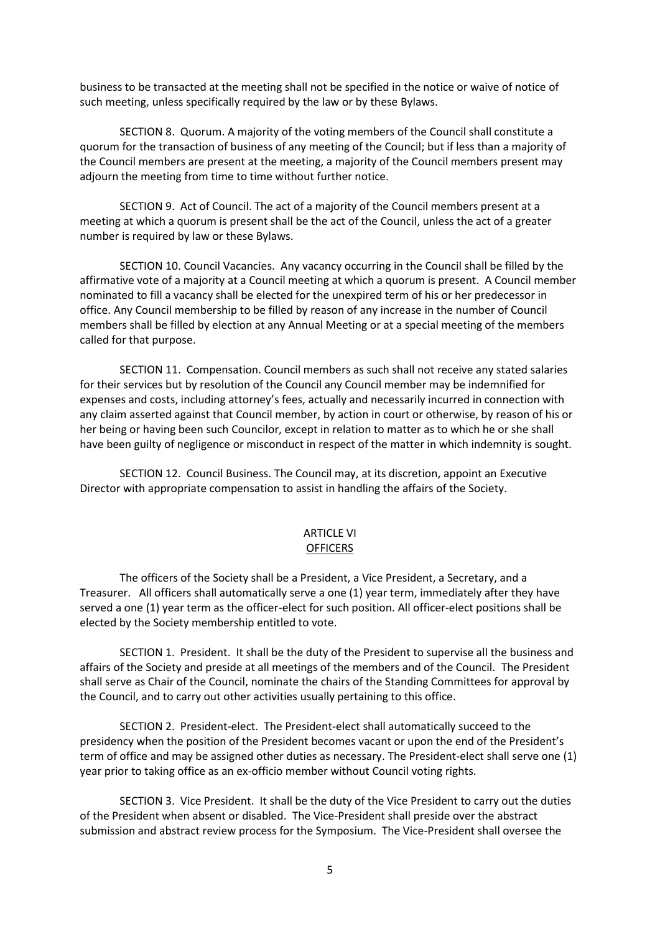business to be transacted at the meeting shall not be specified in the notice or waive of notice of such meeting, unless specifically required by the law or by these Bylaws.

SECTION 8. Quorum. A majority of the voting members of the Council shall constitute a quorum for the transaction of business of any meeting of the Council; but if less than a majority of the Council members are present at the meeting, a majority of the Council members present may adjourn the meeting from time to time without further notice.

SECTION 9. Act of Council. The act of a majority of the Council members present at a meeting at which a quorum is present shall be the act of the Council, unless the act of a greater number is required by law or these Bylaws.

SECTION 10. Council Vacancies. Any vacancy occurring in the Council shall be filled by the affirmative vote of a majority at a Council meeting at which a quorum is present. A Council member nominated to fill a vacancy shall be elected for the unexpired term of his or her predecessor in office. Any Council membership to be filled by reason of any increase in the number of Council members shall be filled by election at any Annual Meeting or at a special meeting of the members called for that purpose.

SECTION 11. Compensation. Council members as such shall not receive any stated salaries for their services but by resolution of the Council any Council member may be indemnified for expenses and costs, including attorney's fees, actually and necessarily incurred in connection with any claim asserted against that Council member, by action in court or otherwise, by reason of his or her being or having been such Councilor, except in relation to matter as to which he or she shall have been guilty of negligence or misconduct in respect of the matter in which indemnity is sought.

SECTION 12. Council Business. The Council may, at its discretion, appoint an Executive Director with appropriate compensation to assist in handling the affairs of the Society.

#### ARTICLE VI **OFFICERS**

The officers of the Society shall be a President, a Vice President, a Secretary, and a Treasurer. All officers shall automatically serve a one (1) year term, immediately after they have served a one (1) year term as the officer-elect for such position. All officer-elect positions shall be elected by the Society membership entitled to vote.

SECTION 1. President. It shall be the duty of the President to supervise all the business and affairs of the Society and preside at all meetings of the members and of the Council. The President shall serve as Chair of the Council, nominate the chairs of the Standing Committees for approval by the Council, and to carry out other activities usually pertaining to this office.

SECTION 2. President-elect. The President-elect shall automatically succeed to the presidency when the position of the President becomes vacant or upon the end of the President's term of office and may be assigned other duties as necessary. The President-elect shall serve one (1) year prior to taking office as an ex-officio member without Council voting rights.

SECTION 3. Vice President. It shall be the duty of the Vice President to carry out the duties of the President when absent or disabled. The Vice-President shall preside over the abstract submission and abstract review process for the Symposium. The Vice-President shall oversee the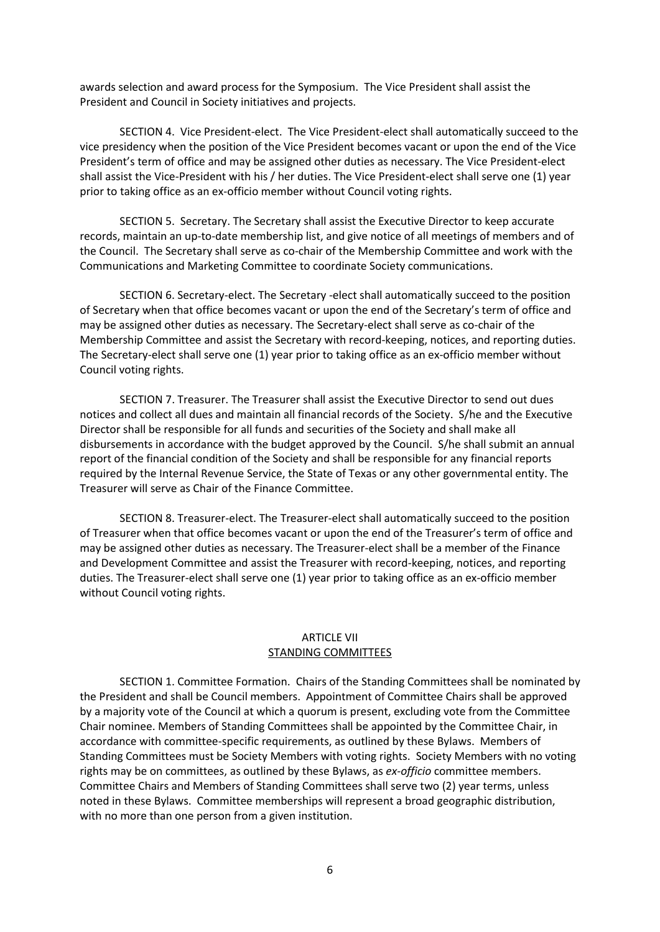awards selection and award process for the Symposium. The Vice President shall assist the President and Council in Society initiatives and projects.

SECTION 4. Vice President-elect. The Vice President-elect shall automatically succeed to the vice presidency when the position of the Vice President becomes vacant or upon the end of the Vice President's term of office and may be assigned other duties as necessary. The Vice President-elect shall assist the Vice-President with his / her duties. The Vice President-elect shall serve one (1) year prior to taking office as an ex-officio member without Council voting rights.

SECTION 5. Secretary. The Secretary shall assist the Executive Director to keep accurate records, maintain an up-to-date membership list, and give notice of all meetings of members and of the Council. The Secretary shall serve as co-chair of the Membership Committee and work with the Communications and Marketing Committee to coordinate Society communications.

SECTION 6. Secretary-elect. The Secretary -elect shall automatically succeed to the position of Secretary when that office becomes vacant or upon the end of the Secretary's term of office and may be assigned other duties as necessary. The Secretary-elect shall serve as co-chair of the Membership Committee and assist the Secretary with record-keeping, notices, and reporting duties. The Secretary-elect shall serve one (1) year prior to taking office as an ex-officio member without Council voting rights.

SECTION 7. Treasurer. The Treasurer shall assist the Executive Director to send out dues notices and collect all dues and maintain all financial records of the Society. S/he and the Executive Director shall be responsible for all funds and securities of the Society and shall make all disbursements in accordance with the budget approved by the Council. S/he shall submit an annual report of the financial condition of the Society and shall be responsible for any financial reports required by the Internal Revenue Service, the State of Texas or any other governmental entity. The Treasurer will serve as Chair of the Finance Committee.

SECTION 8. Treasurer-elect. The Treasurer-elect shall automatically succeed to the position of Treasurer when that office becomes vacant or upon the end of the Treasurer's term of office and may be assigned other duties as necessary. The Treasurer-elect shall be a member of the Finance and Development Committee and assist the Treasurer with record-keeping, notices, and reporting duties. The Treasurer-elect shall serve one (1) year prior to taking office as an ex-officio member without Council voting rights.

## ARTICLE VII STANDING COMMITTEES

SECTION 1. Committee Formation. Chairs of the Standing Committees shall be nominated by the President and shall be Council members. Appointment of Committee Chairs shall be approved by a majority vote of the Council at which a quorum is present, excluding vote from the Committee Chair nominee. Members of Standing Committees shall be appointed by the Committee Chair, in accordance with committee-specific requirements, as outlined by these Bylaws. Members of Standing Committees must be Society Members with voting rights. Society Members with no voting rights may be on committees, as outlined by these Bylaws, as *ex-officio* committee members. Committee Chairs and Members of Standing Committees shall serve two (2) year terms, unless noted in these Bylaws. Committee memberships will represent a broad geographic distribution, with no more than one person from a given institution.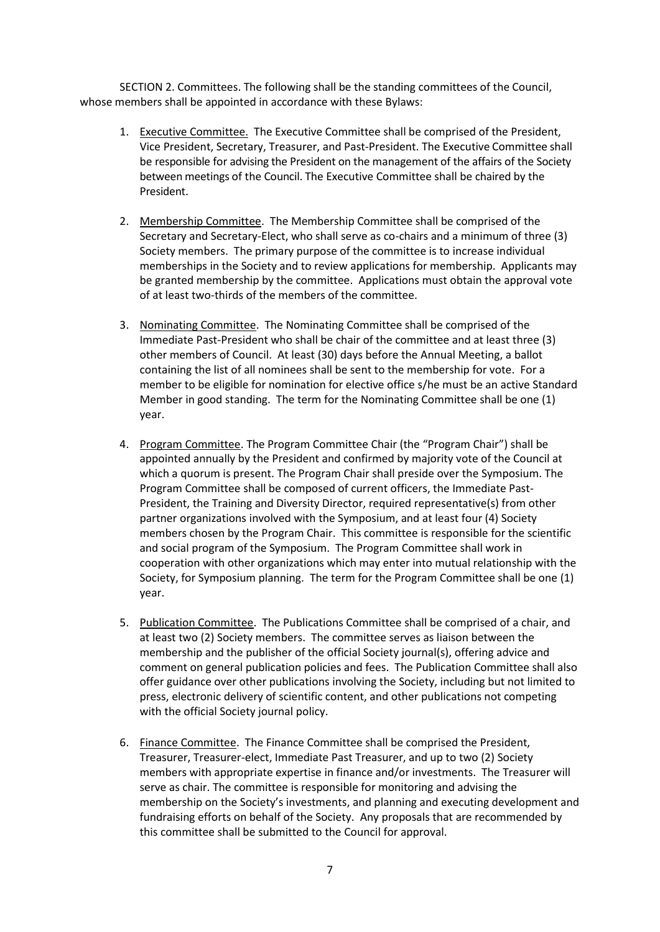SECTION 2. Committees. The following shall be the standing committees of the Council, whose members shall be appointed in accordance with these Bylaws:

- 1. Executive Committee. The Executive Committee shall be comprised of the President, Vice President, Secretary, Treasurer, and Past-President. The Executive Committee shall be responsible for advising the President on the management of the affairs of the Society between meetings of the Council. The Executive Committee shall be chaired by the President.
- 2. Membership Committee. The Membership Committee shall be comprised of the Secretary and Secretary-Elect, who shall serve as co-chairs and a minimum of three (3) Society members. The primary purpose of the committee is to increase individual memberships in the Society and to review applications for membership. Applicants may be granted membership by the committee. Applications must obtain the approval vote of at least two-thirds of the members of the committee.
- 3. Nominating Committee. The Nominating Committee shall be comprised of the Immediate Past-President who shall be chair of the committee and at least three (3) other members of Council. At least (30) days before the Annual Meeting, a ballot containing the list of all nominees shall be sent to the membership for vote. For a member to be eligible for nomination for elective office s/he must be an active Standard Member in good standing. The term for the Nominating Committee shall be one (1) year.
- 4. Program Committee. The Program Committee Chair (the "Program Chair") shall be appointed annually by the President and confirmed by majority vote of the Council at which a quorum is present. The Program Chair shall preside over the Symposium. The Program Committee shall be composed of current officers, the Immediate Past-President, the Training and Diversity Director, required representative(s) from other partner organizations involved with the Symposium, and at least four (4) Society members chosen by the Program Chair. This committee is responsible for the scientific and social program of the Symposium. The Program Committee shall work in cooperation with other organizations which may enter into mutual relationship with the Society, for Symposium planning. The term for the Program Committee shall be one (1) year.
- 5. Publication Committee. The Publications Committee shall be comprised of a chair, and at least two (2) Society members. The committee serves as liaison between the membership and the publisher of the official Society journal(s), offering advice and comment on general publication policies and fees. The Publication Committee shall also offer guidance over other publications involving the Society, including but not limited to press, electronic delivery of scientific content, and other publications not competing with the official Society journal policy.
- 6. Finance Committee. The Finance Committee shall be comprised the President, Treasurer, Treasurer-elect, Immediate Past Treasurer, and up to two (2) Society members with appropriate expertise in finance and/or investments. The Treasurer will serve as chair. The committee is responsible for monitoring and advising the membership on the Society's investments, and planning and executing development and fundraising efforts on behalf of the Society. Any proposals that are recommended by this committee shall be submitted to the Council for approval.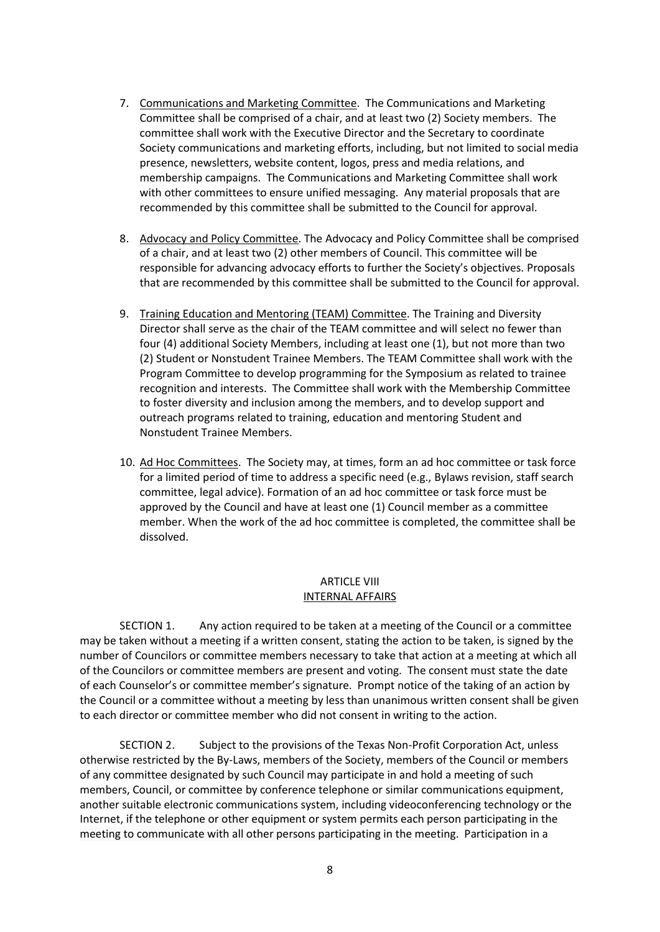- 7. Communications and Marketing Committee. The Communications and Marketing Committee shall be comprised of a chair, and at least two (2) Society members. The committee shall work with the Executive Director and the Secretary to coordinate Society communications and marketing efforts, including, but not limited to social media presence, newsletters, website content, logos, press and media relations, and membership campaigns. The Communications and Marketing Committee shall work with other committees to ensure unified messaging. Any material proposals that are recommended by this committee shall be submitted to the Council for approval.
- 8. Advocacy and Policy Committee. The Advocacy and Policy Committee shall be comprised of a chair, and at least two (2) other members of Council. This committee will be responsible for advancing advocacy efforts to further the Society's objectives. Proposals that are recommended by this committee shall be submitted to the Council for approval.
- 9. Training Education and Mentoring (TEAM) Committee. The Training and Diversity Director shall serve as the chair of the TEAM committee and will select no fewer than four (4) additional Society Members, including at least one (1), but not more than two (2) Student or Nonstudent Trainee Members. The TEAM Committee shall work with the Program Committee to develop programming for the Symposium as related to trainee recognition and interests. The Committee shall work with the Membership Committee to foster diversity and inclusion among the members, and to develop support and outreach programs related to training, education and mentoring Student and Nonstudent Trainee Members.
- 10. Ad Hoc Committees. The Society may, at times, form an ad hoc committee or task force for a limited period of time to address a specific need (e.g., Bylaws revision, staff search committee, legal advice). Formation of an ad hoc committee or task force must be approved by the Council and have at least one (1) Council member as a committee member. When the work of the ad hoc committee is completed, the committee shall be dissolved.

## ARTICLE VIII INTERNAL AFFAIRS

SECTION 1. Any action required to be taken at a meeting of the Council or a committee may be taken without a meeting if a written consent, stating the action to be taken, is signed by the number of Councilors or committee members necessary to take that action at a meeting at which all of the Councilors or committee members are present and voting. The consent must state the date of each Counselor's or committee member's signature. Prompt notice of the taking of an action by the Council or a committee without a meeting by less than unanimous written consent shall be given to each director or committee member who did not consent in writing to the action.

SECTION 2. Subject to the provisions of the Texas Non-Profit Corporation Act, unless otherwise restricted by the By-Laws, members of the Society, members of the Council or members of any committee designated by such Council may participate in and hold a meeting of such members, Council, or committee by conference telephone or similar communications equipment, another suitable electronic communications system, including videoconferencing technology or the Internet, if the telephone or other equipment or system permits each person participating in the meeting to communicate with all other persons participating in the meeting. Participation in a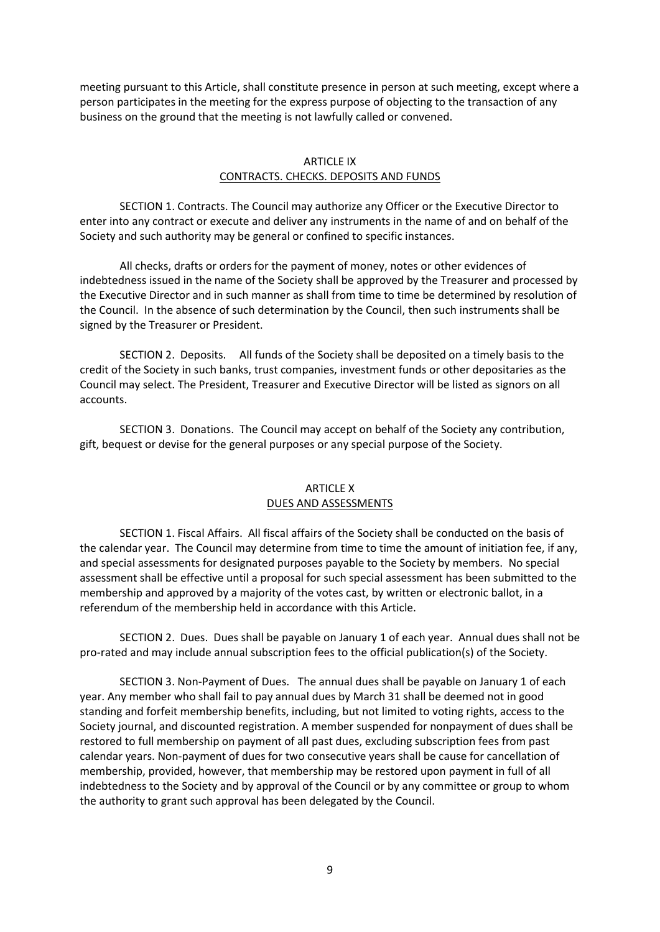meeting pursuant to this Article, shall constitute presence in person at such meeting, except where a person participates in the meeting for the express purpose of objecting to the transaction of any business on the ground that the meeting is not lawfully called or convened.

#### ARTICLE IX CONTRACTS. CHECKS. DEPOSITS AND FUNDS

SECTION 1. Contracts. The Council may authorize any Officer or the Executive Director to enter into any contract or execute and deliver any instruments in the name of and on behalf of the Society and such authority may be general or confined to specific instances.

All checks, drafts or orders for the payment of money, notes or other evidences of indebtedness issued in the name of the Society shall be approved by the Treasurer and processed by the Executive Director and in such manner as shall from time to time be determined by resolution of the Council. In the absence of such determination by the Council, then such instruments shall be signed by the Treasurer or President.

SECTION 2. Deposits. All funds of the Society shall be deposited on a timely basis to the credit of the Society in such banks, trust companies, investment funds or other depositaries as the Council may select. The President, Treasurer and Executive Director will be listed as signors on all accounts.

SECTION 3. Donations. The Council may accept on behalf of the Society any contribution, gift, bequest or devise for the general purposes or any special purpose of the Society.

## ARTICLE X DUES AND ASSESSMENTS

SECTION 1. Fiscal Affairs. All fiscal affairs of the Society shall be conducted on the basis of the calendar year. The Council may determine from time to time the amount of initiation fee, if any, and special assessments for designated purposes payable to the Society by members. No special assessment shall be effective until a proposal for such special assessment has been submitted to the membership and approved by a majority of the votes cast, by written or electronic ballot, in a referendum of the membership held in accordance with this Article.

SECTION 2. Dues. Dues shall be payable on January 1 of each year. Annual dues shall not be pro-rated and may include annual subscription fees to the official publication(s) of the Society.

SECTION 3. Non-Payment of Dues. The annual dues shall be payable on January 1 of each year. Any member who shall fail to pay annual dues by March 31 shall be deemed not in good standing and forfeit membership benefits, including, but not limited to voting rights, access to the Society journal, and discounted registration. A member suspended for nonpayment of dues shall be restored to full membership on payment of all past dues, excluding subscription fees from past calendar years. Non-payment of dues for two consecutive years shall be cause for cancellation of membership, provided, however, that membership may be restored upon payment in full of all indebtedness to the Society and by approval of the Council or by any committee or group to whom the authority to grant such approval has been delegated by the Council.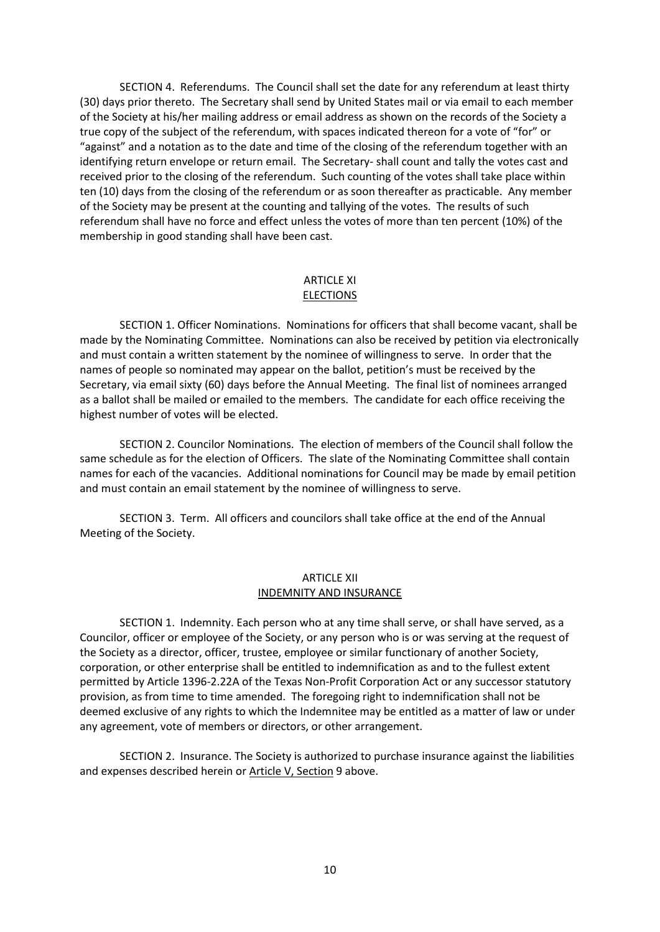SECTION 4. Referendums. The Council shall set the date for any referendum at least thirty (30) days prior thereto. The Secretary shall send by United States mail or via email to each member of the Society at his/her mailing address or email address as shown on the records of the Society a true copy of the subject of the referendum, with spaces indicated thereon for a vote of "for" or "against" and a notation as to the date and time of the closing of the referendum together with an identifying return envelope or return email. The Secretary- shall count and tally the votes cast and received prior to the closing of the referendum. Such counting of the votes shall take place within ten (10) days from the closing of the referendum or as soon thereafter as practicable. Any member of the Society may be present at the counting and tallying of the votes. The results of such referendum shall have no force and effect unless the votes of more than ten percent (10%) of the membership in good standing shall have been cast.

## ARTICLE XI **ELECTIONS**

SECTION 1. Officer Nominations. Nominations for officers that shall become vacant, shall be made by the Nominating Committee. Nominations can also be received by petition via electronically and must contain a written statement by the nominee of willingness to serve. In order that the names of people so nominated may appear on the ballot, petition's must be received by the Secretary, via email sixty (60) days before the Annual Meeting. The final list of nominees arranged as a ballot shall be mailed or emailed to the members. The candidate for each office receiving the highest number of votes will be elected.

SECTION 2. Councilor Nominations. The election of members of the Council shall follow the same schedule as for the election of Officers. The slate of the Nominating Committee shall contain names for each of the vacancies. Additional nominations for Council may be made by email petition and must contain an email statement by the nominee of willingness to serve.

SECTION 3. Term. All officers and councilors shall take office at the end of the Annual Meeting of the Society.

## ARTICLE XII INDEMNITY AND INSURANCE

SECTION 1. Indemnity. Each person who at any time shall serve, or shall have served, as a Councilor, officer or employee of the Society, or any person who is or was serving at the request of the Society as a director, officer, trustee, employee or similar functionary of another Society, corporation, or other enterprise shall be entitled to indemnification as and to the fullest extent permitted by Article 1396-2.22A of the Texas Non-Profit Corporation Act or any successor statutory provision, as from time to time amended. The foregoing right to indemnification shall not be deemed exclusive of any rights to which the Indemnitee may be entitled as a matter of law or under any agreement, vote of members or directors, or other arrangement.

SECTION 2. Insurance. The Society is authorized to purchase insurance against the liabilities and expenses described herein or Article V, Section 9 above.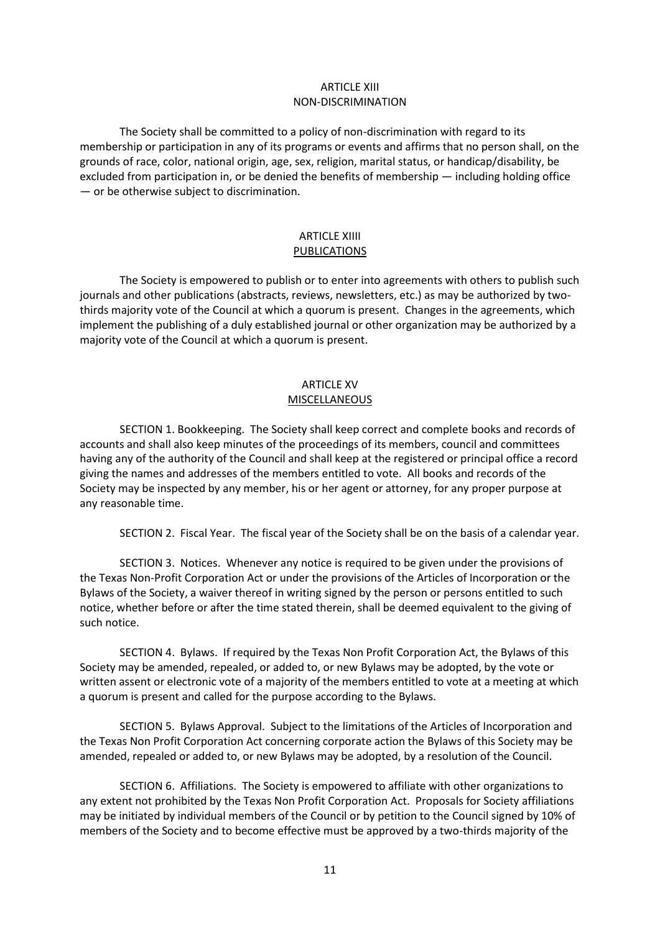## ARTICLE XIII NON-DISCRIMINATION

The Society shall be committed to a policy of non-discrimination with regard to its membership or participation in any of its programs or events and affirms that no person shall, on the grounds of race, color, national origin, age, sex, religion, marital status, or handicap/disability, be excluded from participation in, or be denied the benefits of membership — including holding office — or be otherwise subject to discrimination.

## ARTICLE XIIII PUBLICATIONS

The Society is empowered to publish or to enter into agreements with others to publish such journals and other publications (abstracts, reviews, newsletters, etc.) as may be authorized by twothirds majority vote of the Council at which a quorum is present. Changes in the agreements, which implement the publishing of a duly established journal or other organization may be authorized by a majority vote of the Council at which a quorum is present.

## ARTICLE XV MISCELLANEOUS

SECTION 1. Bookkeeping. The Society shall keep correct and complete books and records of accounts and shall also keep minutes of the proceedings of its members, council and committees having any of the authority of the Council and shall keep at the registered or principal office a record giving the names and addresses of the members entitled to vote. All books and records of the Society may be inspected by any member, his or her agent or attorney, for any proper purpose at any reasonable time.

SECTION 2. Fiscal Year. The fiscal year of the Society shall be on the basis of a calendar year.

SECTION 3. Notices. Whenever any notice is required to be given under the provisions of the Texas Non-Profit Corporation Act or under the provisions of the Articles of Incorporation or the Bylaws of the Society, a waiver thereof in writing signed by the person or persons entitled to such notice, whether before or after the time stated therein, shall be deemed equivalent to the giving of such notice.

SECTION 4. Bylaws. If required by the Texas Non Profit Corporation Act, the Bylaws of this Society may be amended, repealed, or added to, or new Bylaws may be adopted, by the vote or written assent or electronic vote of a majority of the members entitled to vote at a meeting at which a quorum is present and called for the purpose according to the Bylaws.

SECTION 5. Bylaws Approval. Subject to the limitations of the Articles of Incorporation and the Texas Non Profit Corporation Act concerning corporate action the Bylaws of this Society may be amended, repealed or added to, or new Bylaws may be adopted, by a resolution of the Council.

SECTION 6. Affiliations. The Society is empowered to affiliate with other organizations to any extent not prohibited by the Texas Non Profit Corporation Act. Proposals for Society affiliations may be initiated by individual members of the Council or by petition to the Council signed by 10% of members of the Society and to become effective must be approved by a two-thirds majority of the